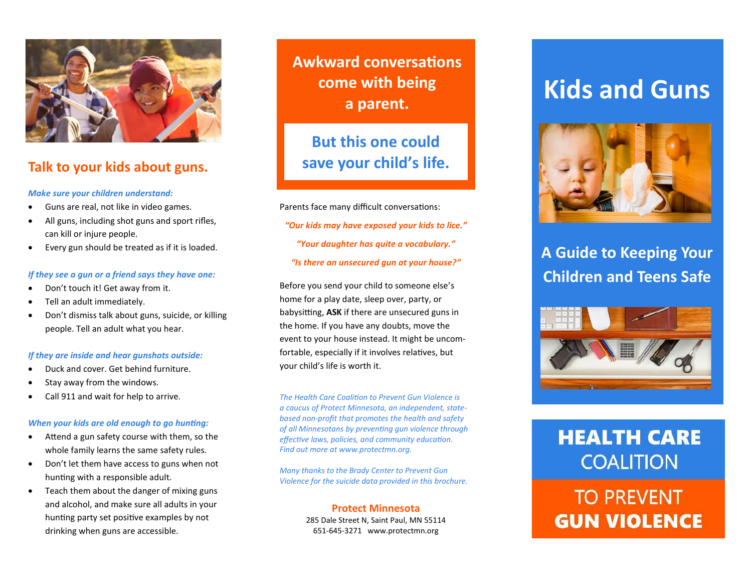

## **Talk to your kids about guns.**

### *Make sure your children understand:*

- Guns are real, not like in video games.
- All guns, including shot guns and sport rifles, can kill or injure people.
- Every gun should be treated as if it is loaded.

### *If they see a gun or a friend says they have one:*

- Don't touch it! Get away from it.
- Tell an adult immediately.
- Don't dismiss talk about guns, suicide, or killing people. Tell an adult what you hear.

### *If they are inside and hear gunshots outside:*

- Duck and cover. Get behind furniture.
- Stay away from the windows.
- Call 911 and wait for help to arrive.

### *When your kids are old enough to go hunting:*

- Attend a gun safety course with them, so the whole family learns the same safety rules.
- Don't let them have access to guns when not hunting with a responsible adult.
- Teach them about the danger of mixing guns and alcohol, and make sure all adults in your hunting party set positive examples by not drinking when guns are accessible.

**Awkward conversations come with being a parent.**

**But this one could save your child's life.**

Parents face many difficult conversations: *"Our kids may have exposed your kids to lice." "Your daughter has quite a vocabulary." "Is there an unsecured gun at your house?"*

Before you send your child to someone else's home for a play date, sleep over, party, or babysitting, **ASK** if there are unsecured guns in the home. If you have any doubts, move the event to your house instead. It might be uncomfortable, especially if it involves relatives, but your child's life is worth it.

*The Health Care Coalition to Prevent Gun Violence is a caucus of Protect Minnesota, an independent, statebased non-profit that promotes the health and safety of all Minnesotans by preventing gun violence through effective laws, policies, and community education. Find out more at www.protectmn.org.*

*Many thanks to the Brady Center to Prevent Gun Violence for the suicide data provided in this brochure.*

### **Protect Minnesota**

285 Dale Street N, Saint Paul, MN 55114 651-645-3271 www.protectmn.org

# **Kids and Guns**



**A Guide to Keeping Your Children and Teens Safe**



## **HEALTH CARE COALITION**

# **TO PREVENT GUN VIOLENCE**